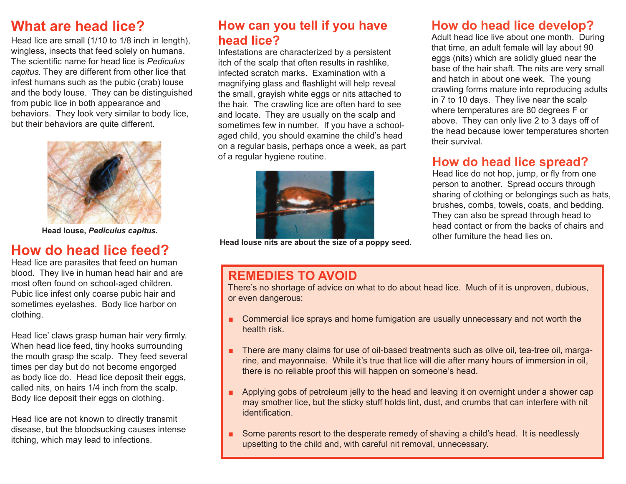### **What are head lice?**

Head lice are small (1/10 to 1/8 inch in length), wingless, insects that feed solely on humans. The scientific name for head lice is *Pediculus capitus.* They are different from other lice that infest humans such as the pubic (crab) louse and the body louse. They can be distinguished from pubic lice in both appearance and behaviors. They look very similar to body lice, but their behaviors are quite different.



**Head louse,** *Pediculus capitus.*

## **How do head lice feed?**

Head lice are parasites that feed on human blood. They live in human head hair and are most often found on school-aged children. Pubic lice infest only coarse pubic hair and sometimes eyelashes. Body lice harbor on clothing.

Head lice' claws grasp human hair very firmly. When head lice feed, tiny hooks surrounding the mouth grasp the scalp. They feed several times per day but do not become engorged as body lice do. Head lice deposit their eggs, called nits, on hairs 1/4 inch from the scalp. Body lice deposit their eggs on clothing.

Head lice are not known to directly transmit disease, but the bloodsucking causes intense itching, which may lead to infections.

### **How can you tell if you have head lice?**

Infestations are characterized by a persistent itch of the scalp that often results in rashlike, infected scratch marks. Examination with a magnifying glass and flashlight will help reveal the small, grayish white eggs or nits attached to the hair. The crawling lice are often hard to see and locate. They are usually on the scalp and sometimes few in number. If you have a schoolaged child, you should examine the child's head on a regular basis, perhaps once a week, as part of a regular hygiene routine. **How do head lice spread?**



**Head louse nits are about the size of a poppy seed.**

### **How do head lice develop?**

Adult head lice live about one month. During that time, an adult female will lay about 90 eggs (nits) which are solidly glued near the base of the hair shaft. The nits are very small and hatch in about one week. The young crawling forms mature into reproducing adults in 7 to 10 days. They live near the scalp where temperatures are 80 degrees F or above. They can only live 2 to 3 days off of the head because lower temperatures shorten their survival.

Head lice do not hop, jump, or fly from one person to another. Spread occurs through sharing of clothing or belongings such as hats, brushes, combs, towels, coats, and bedding. They can also be spread through head to head contact or from the backs of chairs and other furniture the head lies on.

### **REMEDIES TO AVOID**

There's no shortage of advice on what to do about head lice. Much of it is unproven, dubious, or even dangerous:

- Commercial lice sprays and home fumigation are usually unnecessary and not worth the health risk. ■
- There are many claims for use of oil-based treatments such as olive oil, tea-tree oil, margarine, and mayonnaise. While it's true that lice will die after many hours of immersion in oil, there is no reliable proof this will happen on someone's head. ■
- Applying gobs of petroleum jelly to the head and leaving it on overnight under a shower cap may smother lice, but the sticky stuff holds lint, dust, and crumbs that can interfere with nit identification. ■
- Some parents resort to the desperate remedy of shaving a child's head. It is needlessly upsetting to the child and, with careful nit removal, unnecessary. ■